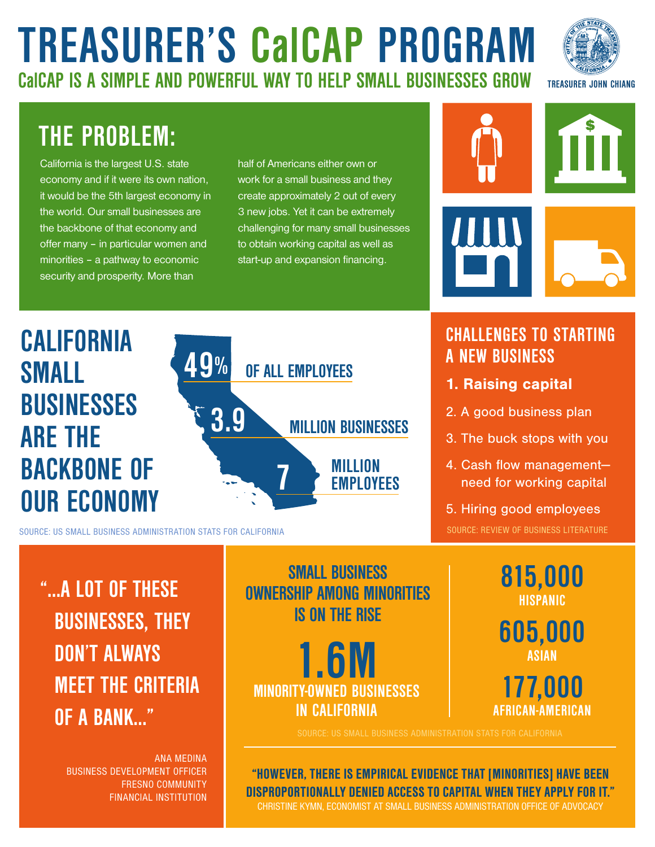# **TREASURER'S CalCAP PROGRAM CalCAP IS A SIMPLE AND POWERFUL WAY TO HELP SMALL BUSINESSES GROW**



## **THE PROBLEM:**

California is the largest U.S. state economy and if it were its own nation, it would be the 5th largest economy in the world. Our small businesses are the backbone of that economy and offer many – in particular women and minorities – a pathway to economic security and prosperity. More than

half of Americans either own or work for a small business and they create approximately 2 out of every 3 new jobs. Yet it can be extremely challenging for many small businesses to obtain working capital as well as start-up and expansion financing.





SOURCE: US SMALL BUSINESS ADMINISTRATION STATS FOR CALIFORNIA

### **"…A LOT OF THESE BUSINESSES, THEY DON'T ALWAYS MEET THE CRITERIA OF A BANK…"**

ANA MEDINA BUSINESS DEVELOPMENT OFFICER FRESNO COMMUNITY FINANCIAL INSTITUTION

**SMALL BUSINESS OWNERSHIP AMONG MINORITIES IS ON THE RISE**

**1.6M MINORITY-OWNED BUSINESSES IN CALIFORNIA**

"HOWEVER, THERE IS EMPIRICAL EVIDENCE THAT [MINORITIES] HAVE BEEN DISPROPORTIONALLY DENIED ACCESS TO CAPITAL WHEN THEY APPLY FOR IT." CHRISTINE KYMN, ECONOMIST AT SMALL BUSINESS ADMINISTRATION OFFICE OF ADVOCACY







#### **CHALLENGES TO STARTING A NEW BUSINESS**

- 1. Raising capital
- 2. A good business plan
- 3. The buck stops with you
- 4. Cash flow management need for working capital
- 5. Hiring good employees

SOURCE: REVIEW OF BUSINESS LITERATURE

**815,000 HISPANIC 605,000 ASIAN 177,000 AFRICAN-AMERICAN**